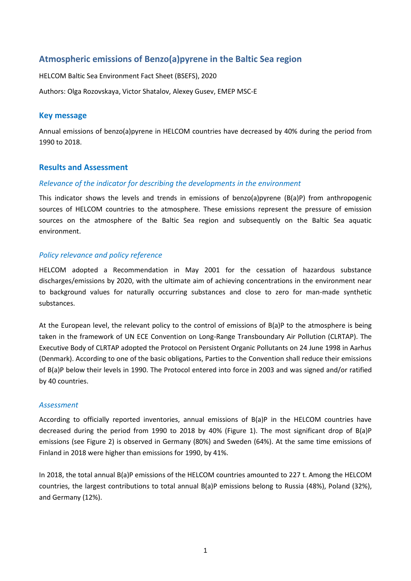# **Atmospheric emissions of Benzo(a)pyrene in the Baltic Sea region**

HELCOM Baltic Sea Environment Fact Sheet (BSEFS), 2020

Authors: Olga Rozovskaya, Victor Shatalov, Alexey Gusev, EMEP MSC-E

## **Key message**

Annual emissions of benzo(a)pyrene in HELCOM countries have decreased by 40% during the period from 1990 to 2018.

## **Results and Assessment**

## *Relevance of the indicator for describing the developments in the environment*

This indicator shows the levels and trends in emissions of benzo(a)pyrene (B(a)P) from anthropogenic sources of HELCOM countries to the atmosphere. These emissions represent the pressure of emission sources on the atmosphere of the Baltic Sea region and subsequently on the Baltic Sea aquatic environment.

## *Policy relevance and policy reference*

HELCOM adopted a Recommendation in May 2001 for the cessation of hazardous substance discharges/emissions by 2020, with the ultimate aim of achieving concentrations in the environment near to background values for naturally occurring substances and close to zero for man-made synthetic substances.

At the European level, the relevant policy to the control of emissions of B(a)P to the atmosphere is being taken in the framework of UN ECE Convention on Long-Range Transboundary Air Pollution (CLRTAP). The Executive Body of CLRTAP adopted the Protocol on Persistent Organic Pollutants on 24 June 1998 in Aarhus (Denmark). According to one of the basic obligations, Parties to the Convention shall reduce their emissions of B(a)P below their levels in 1990. The Protocol entered into force in 2003 and was signed and/or ratified by 40 countries.

#### *Assessment*

According to officially reported inventories, annual emissions of B(a)P in the HELCOM countries have decreased during the period from 1990 to 2018 by 40% (Figure 1). The most significant drop of B(a)P emissions (see Figure 2) is observed in Germany (80%) and Sweden (64%). At the same time emissions of Finland in 2018 were higher than emissions for 1990, by 41%.

In 2018, the total annual B(a)P emissions of the HELCOM countries amounted to 227 t. Among the HELCOM countries, the largest contributions to total annual B(a)P emissions belong to Russia (48%), Poland (32%), and Germany (12%).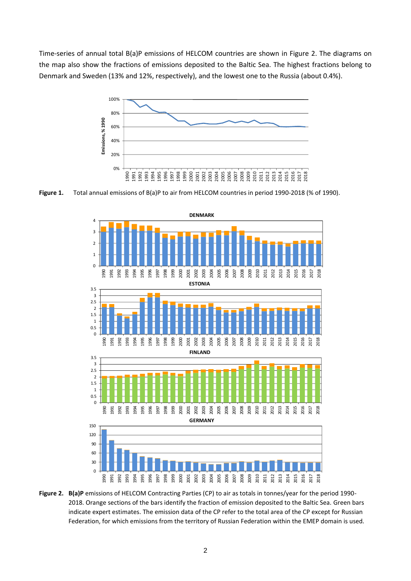Time-series of annual total B(a)P emissions of HELCOM countries are shown in Figure 2. The diagrams on the map also show the fractions of emissions deposited to the Baltic Sea. The highest fractions belong to Denmark and Sweden (13% and 12%, respectively), and the lowest one to the Russia (about 0.4%).



Figure 1. Total annual emissions of B(a)P to air from HELCOM countries in period 1990-2018 (% of 1990).



**Figure 2. B(a)P** emissions of HELCOM Contracting Parties (CP) to air as totals in tonnes/year for the period 1990- 2018. Orange sections of the bars identify the fraction of emission deposited to the Baltic Sea. Green bars indicate expert estimates. The emission data of the CP refer to the total area of the CP except for Russian Federation, for which emissions from the territory of Russian Federation within the EMEP domain is used*.*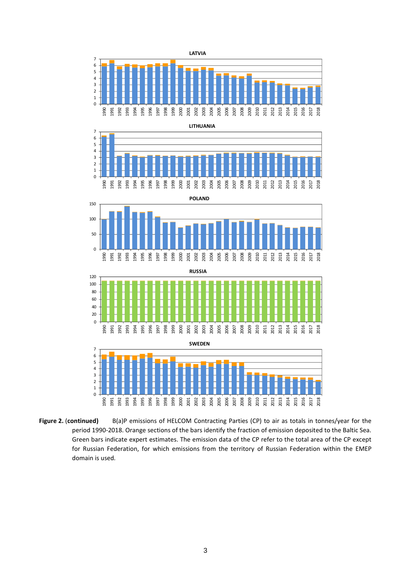

**Figure 2.** (**continued)** B(a)P emissions of HELCOM Contracting Parties (CP) to air as totals in tonnes/year for the period 1990-2018. Orange sections of the bars identify the fraction of emission deposited to the Baltic Sea. Green bars indicate expert estimates. The emission data of the CP refer to the total area of the CP except for Russian Federation, for which emissions from the territory of Russian Federation within the EMEP domain is used*.*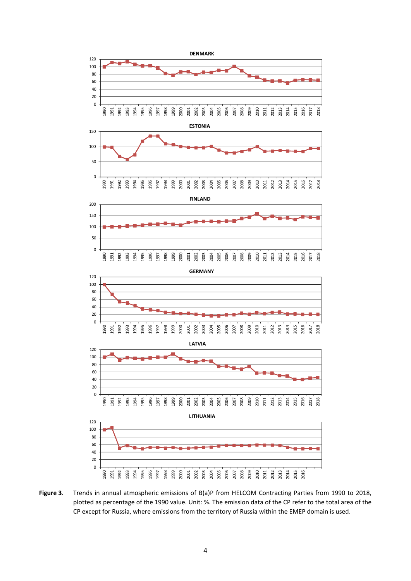

**Figure 3**. Trends in annual atmospheric emissions of B(a)P from HELCOM Contracting Parties from 1990 to 2018, plotted as percentage of the 1990 value. Unit: %. The emission data of the CP refer to the total area of the CP except for Russia, where emissions from the territory of Russia within the EMEP domain is used.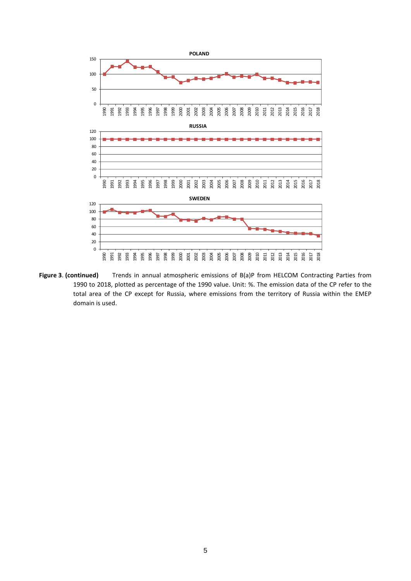

**Figure 3**. **(continued)** Trends in annual atmospheric emissions of B(a)P from HELCOM Contracting Parties from 1990 to 2018, plotted as percentage of the 1990 value. Unit: %. The emission data of the CP refer to the total area of the CP except for Russia, where emissions from the territory of Russia within the EMEP domain is used.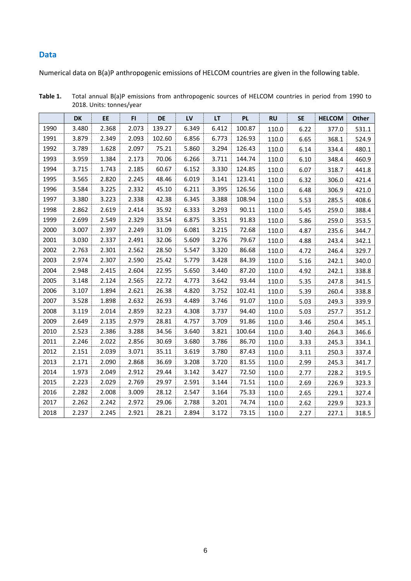#### **Data**

Numerical data on B(a)P anthropogenic emissions of HELCOM countries are given in the following table.

|      | <b>DK</b> | <b>EE</b> | F1    | <b>DE</b> | LV    | LT    | <b>PL</b> | <b>RU</b> | <b>SE</b> | <b>HELCOM</b> | Other |
|------|-----------|-----------|-------|-----------|-------|-------|-----------|-----------|-----------|---------------|-------|
| 1990 | 3.480     | 2.368     | 2.073 | 139.27    | 6.349 | 6.412 | 100.87    | 110.0     | 6.22      | 377.0         | 531.1 |
| 1991 | 3.879     | 2.349     | 2.093 | 102.60    | 6.856 | 6.773 | 126.93    | 110.0     | 6.65      | 368.1         | 524.9 |
| 1992 | 3.789     | 1.628     | 2.097 | 75.21     | 5.860 | 3.294 | 126.43    | 110.0     | 6.14      | 334.4         | 480.1 |
| 1993 | 3.959     | 1.384     | 2.173 | 70.06     | 6.266 | 3.711 | 144.74    | 110.0     | 6.10      | 348.4         | 460.9 |
| 1994 | 3.715     | 1.743     | 2.185 | 60.67     | 6.152 | 3.330 | 124.85    | 110.0     | 6.07      | 318.7         | 441.8 |
| 1995 | 3.565     | 2.820     | 2.245 | 48.46     | 6.019 | 3.141 | 123.41    | 110.0     | 6.32      | 306.0         | 421.4 |
| 1996 | 3.584     | 3.225     | 2.332 | 45.10     | 6.211 | 3.395 | 126.56    | 110.0     | 6.48      | 306.9         | 421.0 |
| 1997 | 3.380     | 3.223     | 2.338 | 42.38     | 6.345 | 3.388 | 108.94    | 110.0     | 5.53      | 285.5         | 408.6 |
| 1998 | 2.862     | 2.619     | 2.414 | 35.92     | 6.333 | 3.293 | 90.11     | 110.0     | 5.45      | 259.0         | 388.4 |
| 1999 | 2.699     | 2.549     | 2.329 | 33.54     | 6.875 | 3.351 | 91.83     | 110.0     | 5.86      | 259.0         | 353.5 |
| 2000 | 3.007     | 2.397     | 2.249 | 31.09     | 6.081 | 3.215 | 72.68     | 110.0     | 4.87      | 235.6         | 344.7 |
| 2001 | 3.030     | 2.337     | 2.491 | 32.06     | 5.609 | 3.276 | 79.67     | 110.0     | 4.88      | 243.4         | 342.1 |
| 2002 | 2.763     | 2.301     | 2.562 | 28.50     | 5.547 | 3.320 | 86.68     | 110.0     | 4.72      | 246.4         | 329.7 |
| 2003 | 2.974     | 2.307     | 2.590 | 25.42     | 5.779 | 3.428 | 84.39     | 110.0     | 5.16      | 242.1         | 340.0 |
| 2004 | 2.948     | 2.415     | 2.604 | 22.95     | 5.650 | 3.440 | 87.20     | 110.0     | 4.92      | 242.1         | 338.8 |
| 2005 | 3.148     | 2.124     | 2.565 | 22.72     | 4.773 | 3.642 | 93.44     | 110.0     | 5.35      | 247.8         | 341.5 |
| 2006 | 3.107     | 1.894     | 2.621 | 26.38     | 4.820 | 3.752 | 102.41    | 110.0     | 5.39      | 260.4         | 338.8 |
| 2007 | 3.528     | 1.898     | 2.632 | 26.93     | 4.489 | 3.746 | 91.07     | 110.0     | 5.03      | 249.3         | 339.9 |
| 2008 | 3.119     | 2.014     | 2.859 | 32.23     | 4.308 | 3.737 | 94.40     | 110.0     | 5.03      | 257.7         | 351.2 |
| 2009 | 2.649     | 2.135     | 2.979 | 28.81     | 4.757 | 3.709 | 91.86     | 110.0     | 3.46      | 250.4         | 345.1 |
| 2010 | 2.523     | 2.386     | 3.288 | 34.56     | 3.640 | 3.821 | 100.64    | 110.0     | 3.40      | 264.3         | 346.6 |
| 2011 | 2.246     | 2.022     | 2.856 | 30.69     | 3.680 | 3.786 | 86.70     | 110.0     | 3.33      | 245.3         | 334.1 |
| 2012 | 2.151     | 2.039     | 3.071 | 35.11     | 3.619 | 3.780 | 87.43     | 110.0     | 3.11      | 250.3         | 337.4 |
| 2013 | 2.171     | 2.090     | 2.868 | 36.69     | 3.208 | 3.720 | 81.55     | 110.0     | 2.99      | 245.3         | 341.7 |
| 2014 | 1.973     | 2.049     | 2.912 | 29.44     | 3.142 | 3.427 | 72.50     | 110.0     | 2.77      | 228.2         | 319.5 |
| 2015 | 2.223     | 2.029     | 2.769 | 29.97     | 2.591 | 3.144 | 71.51     | 110.0     | 2.69      | 226.9         | 323.3 |
| 2016 | 2.282     | 2.008     | 3.009 | 28.12     | 2.547 | 3.164 | 75.33     | 110.0     | 2.65      | 229.1         | 327.4 |
| 2017 | 2.262     | 2.242     | 2.972 | 29.06     | 2.788 | 3.201 | 74.74     | 110.0     | 2.62      | 229.9         | 323.3 |
| 2018 | 2.237     | 2.245     | 2.921 | 28.21     | 2.894 | 3.172 | 73.15     | 110.0     | 2.27      | 227.1         | 318.5 |

**Table 1.** Total annual B(a)P emissions from anthropogenic sources of HELCOM countries in period from 1990 to 2018. Units: tonnes/year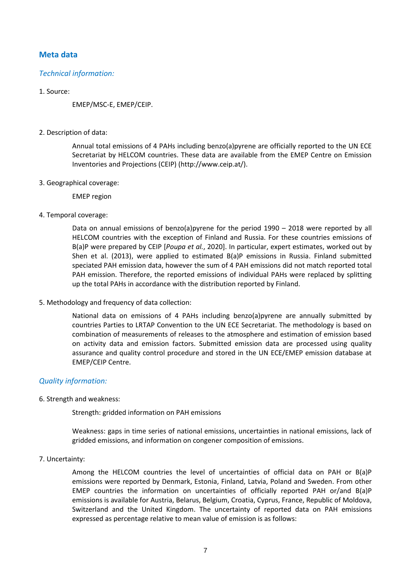# **Meta data**

## *Technical information:*

#### 1. Source:

EMEP/MSC-E, EMEP/CEIP.

2. Description of data:

Annual total emissions of 4 PAHs including benzo(a)pyrene are officially reported to the UN ECE Secretariat by HELCOM countries. These data are available from the EMEP Centre on Emission Inventories and Projections (CEIP) (http://www.ceip.at/).

3. Geographical coverage:

EMEP region

4. Temporal coverage:

Data on annual emissions of benzo(a)pyrene for the period 1990 – 2018 were reported by all HELCOM countries with the exception of Finland and Russia. For these countries emissions of B(a)P were prepared by CEIP [*Poupa et al.*, 2020]. In particular, expert estimates, worked out by Shen et al. (2013), were applied to estimated B(a)P emissions in Russia. Finland submitted speciated PAH emission data, however the sum of 4 PAH emissions did not match reported total PAH emission. Therefore, the reported emissions of individual PAHs were replaced by splitting up the total PAHs in accordance with the distribution reported by Finland.

5. Methodology and frequency of data collection:

National data on emissions of 4 PAHs including benzo(a)pyrene are annually submitted by countries Parties to LRTAP Convention to the UN ECE Secretariat. The methodology is based on combination of measurements of releases to the atmosphere and estimation of emission based on activity data and emission factors. Submitted emission data are processed using quality assurance and quality control procedure and stored in the UN ECE/EMEP emission database at EMEP/CEIP Centre.

## *Quality information:*

6. Strength and weakness:

Strength: gridded information on PAH emissions

Weakness: gaps in time series of national emissions, uncertainties in national emissions, lack of gridded emissions, and information on congener composition of emissions.

7. Uncertainty:

Among the HELCOM countries the level of uncertainties of official data on PAH or B(a)P emissions were reported by Denmark, Estonia, Finland, Latvia, Poland and Sweden. From other EMEP countries the information on uncertainties of officially reported PAH or/and B(a)P emissions is available for Austria, Belarus, Belgium, Croatia, Cyprus, France, Republic of Moldova, Switzerland and the United Kingdom. The uncertainty of reported data on PAH emissions expressed as percentage relative to mean value of emission is as follows: